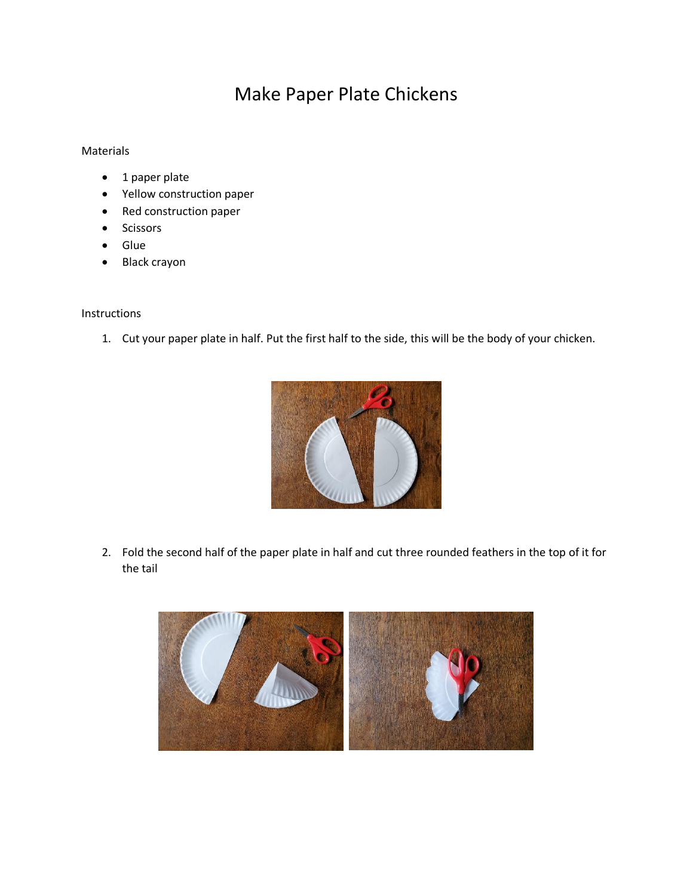## Make Paper Plate Chickens

## Materials

- 1 paper plate
- Yellow construction paper
- Red construction paper
- Scissors
- Glue
- Black crayon

Instructions

1. Cut your paper plate in half. Put the first half to the side, this will be the body of your chicken.



2. Fold the second half of the paper plate in half and cut three rounded feathers in the top of it for the tail

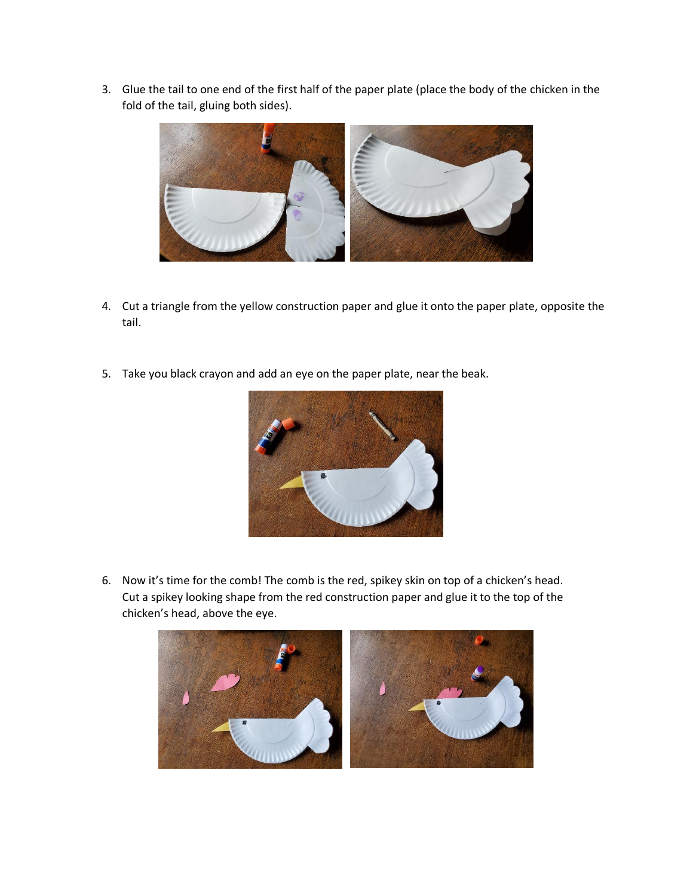3. Glue the tail to one end of the first half of the paper plate (place the body of the chicken in the fold of the tail, gluing both sides).



- 4. Cut a triangle from the yellow construction paper and glue it onto the paper plate, opposite the tail.
- 5. Take you black crayon and add an eye on the paper plate, near the beak.



6. Now it's time for the comb! The comb is the red, spikey skin on top of a chicken's head. Cut a spikey looking shape from the red construction paper and glue it to the top of the chicken's head, above the eye.